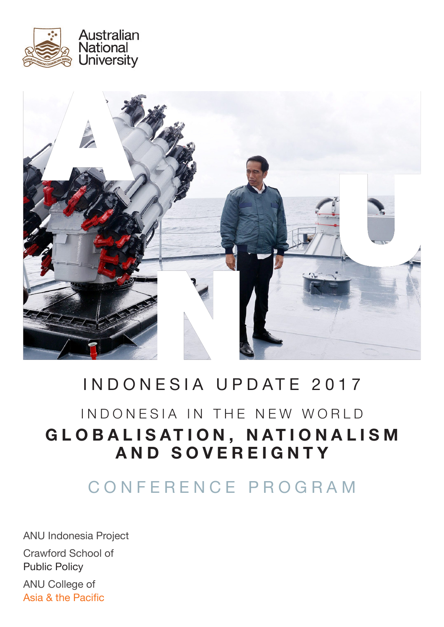



# INDONESIA UPDATE 2017

# INDONESIA IN THE NEW WORLD GLOBALISATION, NATIONALISM **AND SOVEREIGNTY**

CONFERENCE PROGRAM

ANU Indonesia Project Crawford School of Public Policy ANU College of Asia & the Pacific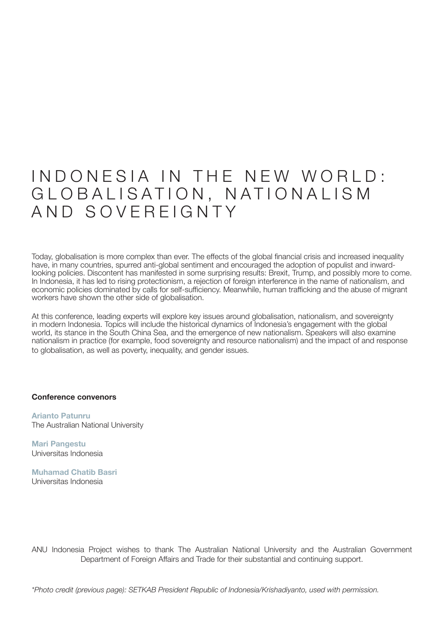## INDONESIA IN THE NEW WORLD: GLOBALISATION, NATIONALISM AND SOVEREIGNTY

Today, globalisation is more complex than ever. The effects of the global financial crisis and increased inequality have, in many countries, spurred anti-global sentiment and encouraged the adoption of populist and inwardlooking policies. Discontent has manifested in some surprising results: Brexit, Trump, and possibly more to come. In Indonesia, it has led to rising protectionism, a rejection of foreign interference in the name of nationalism, and economic policies dominated by calls for self-sufficiency. Meanwhile, human trafficking and the abuse of migrant workers have shown the other side of globalisation.

At this conference, leading experts will explore key issues around globalisation, nationalism, and sovereignty in modern Indonesia. Topics will include the historical dynamics of Indonesia's engagement with the global world, its stance in the South China Sea, and the emergence of new nationalism. Speakers will also examine nationalism in practice (for example, food sovereignty and resource nationalism) and the impact of and response to globalisation, as well as poverty, inequality, and gender issues.

#### **Conference convenors**

**Arianto Patunru** The Australian National University

**Mari Pangestu** Universitas Indonesia

**Muhamad Chatib Basri** Universitas Indonesia

ANU Indonesia Project wishes to thank The Australian National University and the Australian Government Department of Foreign Affairs and Trade for their substantial and continuing support.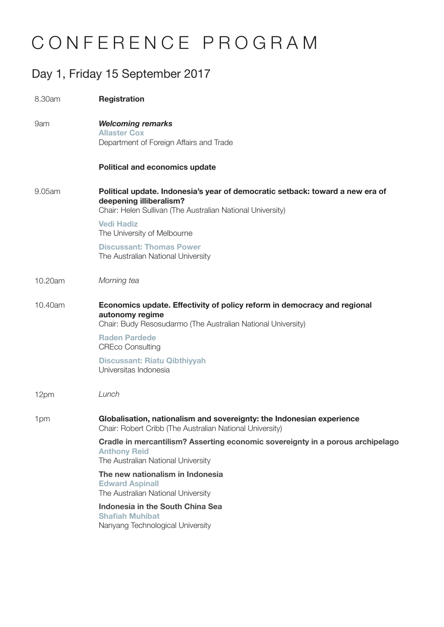# CONFERENCE PROGRAM

#### Day 1, Friday 15 September 2017

| 8.30am  | <b>Registration</b>                                                                                                                                                    |
|---------|------------------------------------------------------------------------------------------------------------------------------------------------------------------------|
| 9am     | <b>Welcoming remarks</b><br><b>Allaster Cox</b><br>Department of Foreign Affairs and Trade                                                                             |
|         | <b>Political and economics update</b>                                                                                                                                  |
| 9.05am  | Political update. Indonesia's year of democratic setback: toward a new era of<br>deepening illiberalism?<br>Chair: Helen Sullivan (The Australian National University) |
|         | <b>Vedi Hadiz</b><br>The University of Melbourne                                                                                                                       |
|         | <b>Discussant: Thomas Power</b><br>The Australian National University                                                                                                  |
| 10.20am | Morning tea                                                                                                                                                            |
| 10.40am | Economics update. Effectivity of policy reform in democracy and regional<br>autonomy regime<br>Chair: Budy Resosudarmo (The Australian National University)            |
|         | <b>Raden Pardede</b><br><b>CREco Consulting</b>                                                                                                                        |
|         | <b>Discussant: Riatu Qibthiyyah</b><br>Universitas Indonesia                                                                                                           |
| 12pm    | Lunch                                                                                                                                                                  |
| 1pm     | Globalisation, nationalism and sovereignty: the Indonesian experience<br>Chair: Robert Cribb (The Australian National University)                                      |
|         | Cradle in mercantilism? Asserting economic sovereignty in a porous archipelago<br><b>Anthony Reid</b><br>The Australian National University                            |
|         | The new nationalism in Indonesia<br><b>Edward Aspinall</b><br>The Australian National University                                                                       |
|         | Indonesia in the South China Sea<br><b>Shafiah Muhibat</b><br>Nanyang Technological University                                                                         |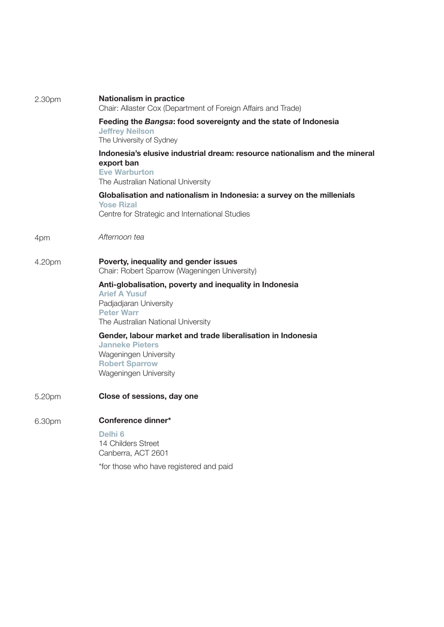| 2.30pm | <b>Nationalism in practice</b><br>Chair: Allaster Cox (Department of Foreign Affairs and Trade)                                                                      |
|--------|----------------------------------------------------------------------------------------------------------------------------------------------------------------------|
|        | Feeding the Bangsa: food sovereignty and the state of Indonesia<br><b>Jeffrey Neilson</b><br>The University of Sydney                                                |
|        | Indonesia's elusive industrial dream: resource nationalism and the mineral<br>export ban<br><b>Eve Warburton</b><br>The Australian National University               |
|        | Globalisation and nationalism in Indonesia: a survey on the millenials<br><b>Yose Rizal</b><br>Centre for Strategic and International Studies                        |
| 4pm    | Afternoon tea                                                                                                                                                        |
| 4.20pm | Poverty, inequality and gender issues<br>Chair: Robert Sparrow (Wageningen University)                                                                               |
|        | Anti-globalisation, poverty and inequality in Indonesia<br><b>Arief A Yusuf</b><br>Padjadjaran University<br><b>Peter Warr</b><br>The Australian National University |
|        | Gender, labour market and trade liberalisation in Indonesia<br><b>Janneke Pieters</b><br>Wageningen University<br><b>Robert Sparrow</b><br>Wageningen University     |
| 5.20pm | Close of sessions, day one                                                                                                                                           |
| 6.30pm | Conference dinner*<br>Delhi <sub>6</sub><br>14 Childers Street<br>Canberra, ACT 2601                                                                                 |
|        | *for those who have registered and paid                                                                                                                              |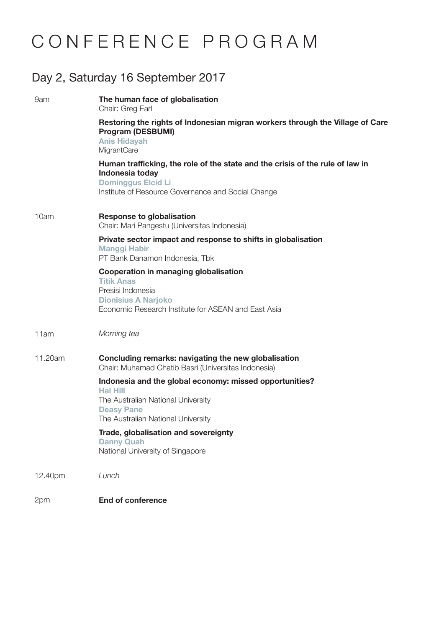# CONFERENCE PROGRAM

### Day 2, Saturday 16 September 2017

| 9am     | The human face of globalisation<br>Chair: Greg Earl                                                                                                                                 |
|---------|-------------------------------------------------------------------------------------------------------------------------------------------------------------------------------------|
|         | Restoring the rights of Indonesian migran workers through the Village of Care<br><b>Program (DESBUMI)</b><br><b>Anis Hidayah</b><br>MigrantCare                                     |
|         | Human trafficking, the role of the state and the crisis of the rule of law in<br>Indonesia today<br><b>Dominggus Elcid Li</b><br>Institute of Resource Governance and Social Change |
| 10am    | <b>Response to globalisation</b><br>Chair: Mari Pangestu (Universitas Indonesia)                                                                                                    |
|         | Private sector impact and response to shifts in globalisation<br><b>Manggi Habir</b><br>PT Bank Danamon Indonesia, Tbk                                                              |
|         | Cooperation in managing globalisation<br><b>Titik Anas</b><br>Presisi Indonesia<br><b>Dionisius A Narjoko</b><br>Economic Research Institute for ASEAN and East Asia                |
| 11am    | Morning tea                                                                                                                                                                         |
| 11.20am | Concluding remarks: navigating the new globalisation<br>Chair: Muhamad Chatib Basri (Universitas Indonesia)                                                                         |
|         | Indonesia and the global economy: missed opportunities?<br><b>Hal Hill</b><br>The Australian National University<br><b>Deasy Pane</b><br>The Australian National University         |
|         | Trade, globalisation and sovereignty<br><b>Danny Quah</b><br>National University of Singapore                                                                                       |
| 12.40pm | Lunch                                                                                                                                                                               |
| 2pm     | <b>End of conference</b>                                                                                                                                                            |